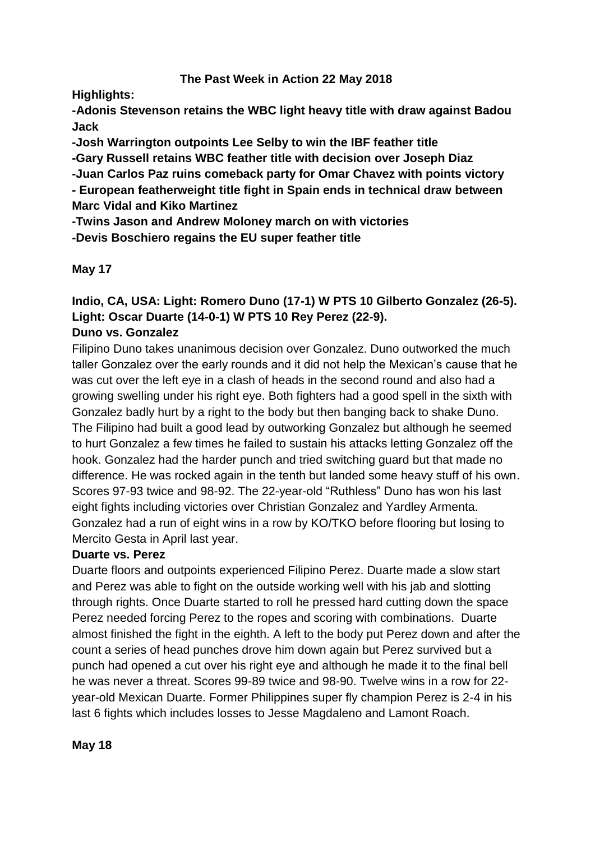### **The Past Week in Action 22 May 2018**

**Highlights:**

**-Adonis Stevenson retains the WBC light heavy title with draw against Badou Jack**

**-Josh Warrington outpoints Lee Selby to win the IBF feather title**

**-Gary Russell retains WBC feather title with decision over Joseph Diaz**

**-Juan Carlos Paz ruins comeback party for Omar Chavez with points victory**

**- European featherweight title fight in Spain ends in technical draw between Marc Vidal and Kiko Martinez**

**-Twins Jason and Andrew Moloney march on with victories**

**-Devis Boschiero regains the EU super feather title**

**May 17**

# **Indio, CA, USA: Light: Romero Duno (17-1) W PTS 10 Gilberto Gonzalez (26-5). Light: Oscar Duarte (14-0-1) W PTS 10 Rey Perez (22-9).**

## **Duno vs. Gonzalez**

Filipino Duno takes unanimous decision over Gonzalez. Duno outworked the much taller Gonzalez over the early rounds and it did not help the Mexican's cause that he was cut over the left eye in a clash of heads in the second round and also had a growing swelling under his right eye. Both fighters had a good spell in the sixth with Gonzalez badly hurt by a right to the body but then banging back to shake Duno. The Filipino had built a good lead by outworking Gonzalez but although he seemed to hurt Gonzalez a few times he failed to sustain his attacks letting Gonzalez off the hook. Gonzalez had the harder punch and tried switching guard but that made no difference. He was rocked again in the tenth but landed some heavy stuff of his own. Scores 97-93 twice and 98-92. The 22-year-old "Ruthless" Duno has won his last eight fights including victories over Christian Gonzalez and Yardley Armenta. Gonzalez had a run of eight wins in a row by KO/TKO before flooring but losing to Mercito Gesta in April last year.

## **Duarte vs. Perez**

Duarte floors and outpoints experienced Filipino Perez. Duarte made a slow start and Perez was able to fight on the outside working well with his jab and slotting through rights. Once Duarte started to roll he pressed hard cutting down the space Perez needed forcing Perez to the ropes and scoring with combinations. Duarte almost finished the fight in the eighth. A left to the body put Perez down and after the count a series of head punches drove him down again but Perez survived but a punch had opened a cut over his right eye and although he made it to the final bell he was never a threat. Scores 99-89 twice and 98-90. Twelve wins in a row for 22 year-old Mexican Duarte. Former Philippines super fly champion Perez is 2-4 in his last 6 fights which includes losses to Jesse Magdaleno and Lamont Roach.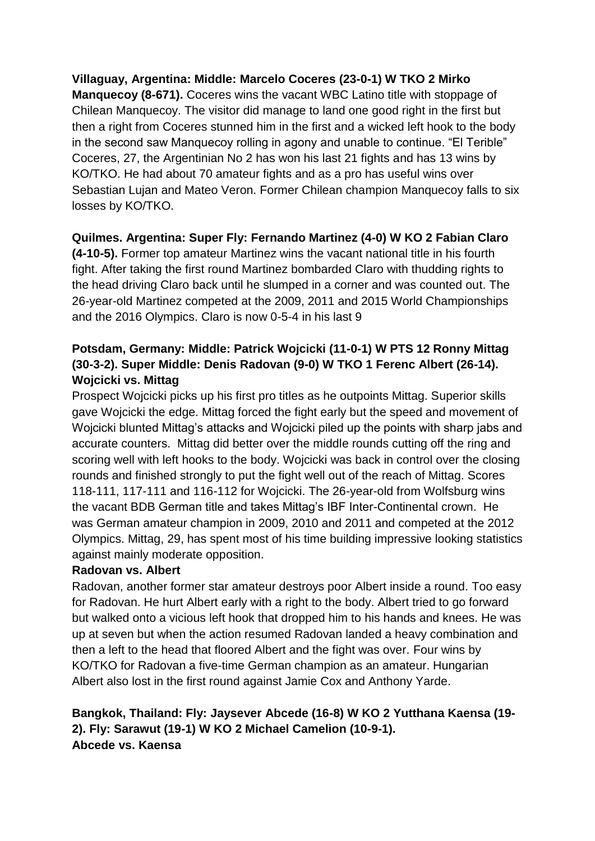## **Villaguay, Argentina: Middle: Marcelo Coceres (23-0-1) W TKO 2 Mirko**

**Manquecoy (8-671).** Coceres wins the vacant WBC Latino title with stoppage of Chilean Manquecoy. The visitor did manage to land one good right in the first but then a right from Coceres stunned him in the first and a wicked left hook to the body in the second saw Manquecoy rolling in agony and unable to continue. "El Terible" Coceres, 27, the Argentinian No 2 has won his last 21 fights and has 13 wins by KO/TKO. He had about 70 amateur fights and as a pro has useful wins over Sebastian Lujan and Mateo Veron. Former Chilean champion Manquecoy falls to six losses by KO/TKO.

### **Quilmes. Argentina: Super Fly: Fernando Martinez (4-0) W KO 2 Fabian Claro**

**(4-10-5).** Former top amateur Martinez wins the vacant national title in his fourth fight. After taking the first round Martinez bombarded Claro with thudding rights to the head driving Claro back until he slumped in a corner and was counted out. The 26-year-old Martinez competed at the 2009, 2011 and 2015 World Championships and the 2016 Olympics. Claro is now 0-5-4 in his last 9

## **Potsdam, Germany: Middle: Patrick Wojcicki (11-0-1) W PTS 12 Ronny Mittag (30-3-2). Super Middle: Denis Radovan (9-0) W TKO 1 Ferenc Albert (26-14). Wojcicki vs. Mittag**

Prospect Wojcicki picks up his first pro titles as he outpoints Mittag. Superior skills gave Wojcicki the edge. Mittag forced the fight early but the speed and movement of Wojcicki blunted Mittag's attacks and Wojcicki piled up the points with sharp jabs and accurate counters. Mittag did better over the middle rounds cutting off the ring and scoring well with left hooks to the body. Wojcicki was back in control over the closing rounds and finished strongly to put the fight well out of the reach of Mittag. Scores 118-111, 117-111 and 116-112 for Wojcicki. The 26-year-old from Wolfsburg wins the vacant BDB German title and takes Mittag's IBF Inter-Continental crown. He was German amateur champion in 2009, 2010 and 2011 and competed at the 2012 Olympics. Mittag, 29, has spent most of his time building impressive looking statistics against mainly moderate opposition.

### **Radovan vs. Albert**

Radovan, another former star amateur destroys poor Albert inside a round. Too easy for Radovan. He hurt Albert early with a right to the body. Albert tried to go forward but walked onto a vicious left hook that dropped him to his hands and knees. He was up at seven but when the action resumed Radovan landed a heavy combination and then a left to the head that floored Albert and the fight was over. Four wins by KO/TKO for Radovan a five-time German champion as an amateur. Hungarian Albert also lost in the first round against Jamie Cox and Anthony Yarde.

## **Bangkok, Thailand: Fly: Jaysever Abcede (16-8) W KO 2 Yutthana Kaensa (19- 2). Fly: Sarawut (19-1) W KO 2 Michael Camelion (10-9-1). Abcede vs. Kaensa**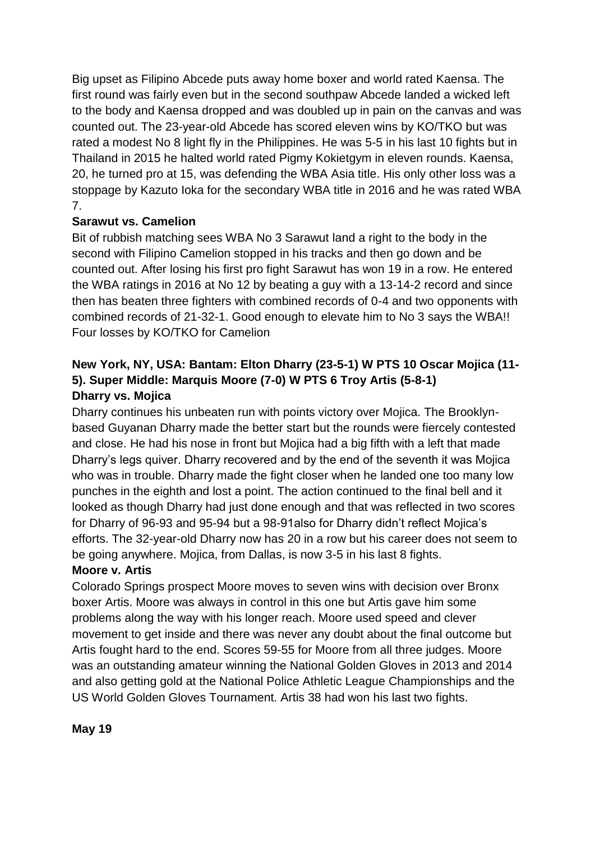Big upset as Filipino Abcede puts away home boxer and world rated Kaensa. The first round was fairly even but in the second southpaw Abcede landed a wicked left to the body and Kaensa dropped and was doubled up in pain on the canvas and was counted out. The 23-year-old Abcede has scored eleven wins by KO/TKO but was rated a modest No 8 light fly in the Philippines. He was 5-5 in his last 10 fights but in Thailand in 2015 he halted world rated Pigmy Kokietgym in eleven rounds. Kaensa, 20, he turned pro at 15, was defending the WBA Asia title. His only other loss was a stoppage by Kazuto Ioka for the secondary WBA title in 2016 and he was rated WBA 7.

## **Sarawut vs. Camelion**

Bit of rubbish matching sees WBA No 3 Sarawut land a right to the body in the second with Filipino Camelion stopped in his tracks and then go down and be counted out. After losing his first pro fight Sarawut has won 19 in a row. He entered the WBA ratings in 2016 at No 12 by beating a guy with a 13-14-2 record and since then has beaten three fighters with combined records of 0-4 and two opponents with combined records of 21-32-1. Good enough to elevate him to No 3 says the WBA!! Four losses by KO/TKO for Camelion

## **New York, NY, USA: Bantam: Elton Dharry (23-5-1) W PTS 10 Oscar Mojica (11- 5). Super Middle: Marquis Moore (7-0) W PTS 6 Troy Artis (5-8-1) Dharry vs. Mojica**

Dharry continues his unbeaten run with points victory over Mojica. The Brooklynbased Guyanan Dharry made the better start but the rounds were fiercely contested and close. He had his nose in front but Mojica had a big fifth with a left that made Dharry's legs quiver. Dharry recovered and by the end of the seventh it was Mojica who was in trouble. Dharry made the fight closer when he landed one too many low punches in the eighth and lost a point. The action continued to the final bell and it looked as though Dharry had just done enough and that was reflected in two scores for Dharry of 96-93 and 95-94 but a 98-91also for Dharry didn't reflect Mojica's efforts. The 32-year-old Dharry now has 20 in a row but his career does not seem to be going anywhere. Mojica, from Dallas, is now 3-5 in his last 8 fights.

### **Moore v. Artis**

Colorado Springs prospect Moore moves to seven wins with decision over Bronx boxer Artis. Moore was always in control in this one but Artis gave him some problems along the way with his longer reach. Moore used speed and clever movement to get inside and there was never any doubt about the final outcome but Artis fought hard to the end. Scores 59-55 for Moore from all three judges. Moore was an outstanding amateur winning the National Golden Gloves in 2013 and 2014 and also getting gold at the National Police Athletic League Championships and the US World Golden Gloves Tournament. Artis 38 had won his last two fights.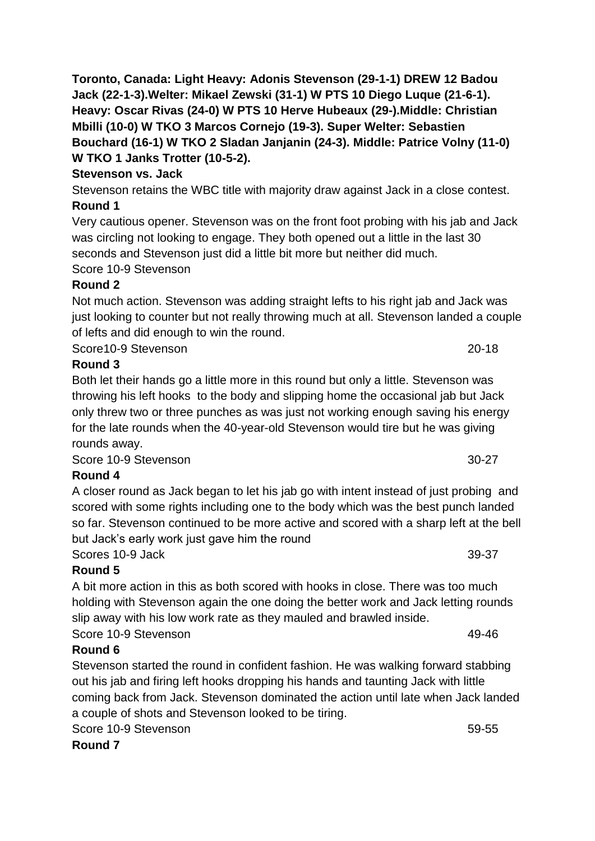## **Stevenson vs. Jack**

Stevenson retains the WBC title with majority draw against Jack in a close contest. **Round 1**

Very cautious opener. Stevenson was on the front foot probing with his jab and Jack was circling not looking to engage. They both opened out a little in the last 30 seconds and Stevenson just did a little bit more but neither did much.

Score 10-9 Stevenson

## **Round 2**

Not much action. Stevenson was adding straight lefts to his right jab and Jack was just looking to counter but not really throwing much at all. Stevenson landed a couple of lefts and did enough to win the round.

Score10-9 Stevenson 20-18

## **Round 3**

Both let their hands go a little more in this round but only a little. Stevenson was throwing his left hooks to the body and slipping home the occasional jab but Jack only threw two or three punches as was just not working enough saving his energy for the late rounds when the 40-year-old Stevenson would tire but he was giving rounds away.

Score 10-9 Stevenson 30-27

## **Round 4**

A closer round as Jack began to let his jab go with intent instead of just probing and scored with some rights including one to the body which was the best punch landed so far. Stevenson continued to be more active and scored with a sharp left at the bell but Jack's early work just gave him the round

Scores 10-9 Jack 39-37

## **Round 5**

A bit more action in this as both scored with hooks in close. There was too much holding with Stevenson again the one doing the better work and Jack letting rounds slip away with his low work rate as they mauled and brawled inside. Score 10-9 Stevenson 49-46

## **Round 6**

Stevenson started the round in confident fashion. He was walking forward stabbing out his jab and firing left hooks dropping his hands and taunting Jack with little coming back from Jack. Stevenson dominated the action until late when Jack landed a couple of shots and Stevenson looked to be tiring.

Score 10-9 Stevenson 59-55

**Round 7**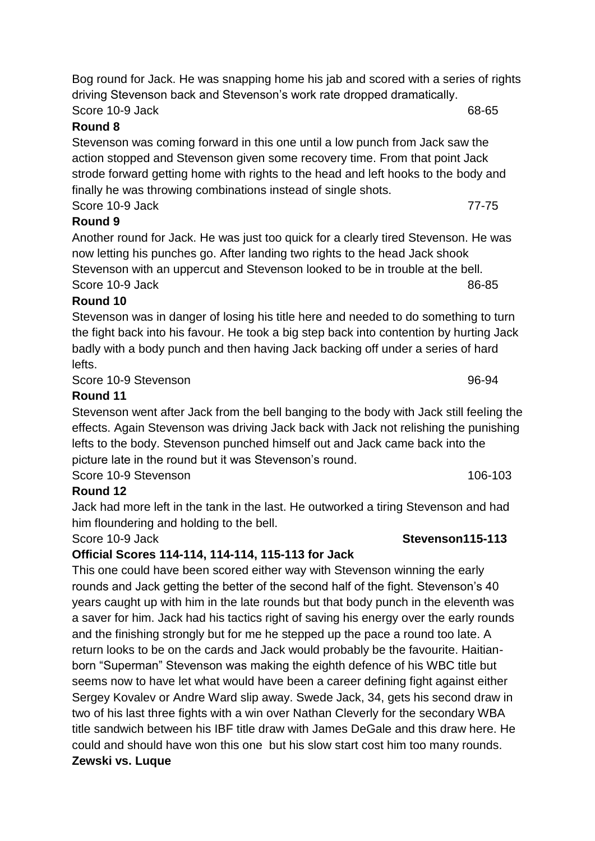## **Round 8**

Stevenson was coming forward in this one until a low punch from Jack saw the action stopped and Stevenson given some recovery time. From that point Jack strode forward getting home with rights to the head and left hooks to the body and finally he was throwing combinations instead of single shots. Score 10-9 Jack 77-75

## **Round 9**

Another round for Jack. He was just too quick for a clearly tired Stevenson. He was now letting his punches go. After landing two rights to the head Jack shook Stevenson with an uppercut and Stevenson looked to be in trouble at the bell. Score 10-9 Jack 86-85

## **Round 10**

Stevenson was in danger of losing his title here and needed to do something to turn the fight back into his favour. He took a big step back into contention by hurting Jack badly with a body punch and then having Jack backing off under a series of hard lefts.

Score 10-9 Stevenson 96-94

## **Round 11**

Stevenson went after Jack from the bell banging to the body with Jack still feeling the effects. Again Stevenson was driving Jack back with Jack not relishing the punishing lefts to the body. Stevenson punched himself out and Jack came back into the picture late in the round but it was Stevenson's round.

Score 10-9 Stevenson 106-103

## **Round 12**

Jack had more left in the tank in the last. He outworked a tiring Stevenson and had him floundering and holding to the bell.

## **Official Scores 114-114, 114-114, 115-113 for Jack**

This one could have been scored either way with Stevenson winning the early rounds and Jack getting the better of the second half of the fight. Stevenson's 40 years caught up with him in the late rounds but that body punch in the eleventh was a saver for him. Jack had his tactics right of saving his energy over the early rounds and the finishing strongly but for me he stepped up the pace a round too late. A return looks to be on the cards and Jack would probably be the favourite. Haitianborn "Superman" Stevenson was making the eighth defence of his WBC title but seems now to have let what would have been a career defining fight against either Sergey Kovalev or Andre Ward slip away. Swede Jack, 34, gets his second draw in two of his last three fights with a win over Nathan Cleverly for the secondary WBA title sandwich between his IBF title draw with James DeGale and this draw here. He could and should have won this one but his slow start cost him too many rounds. **Zewski vs. Luque**

### Score 10-9 Jack **Stevenson115-113**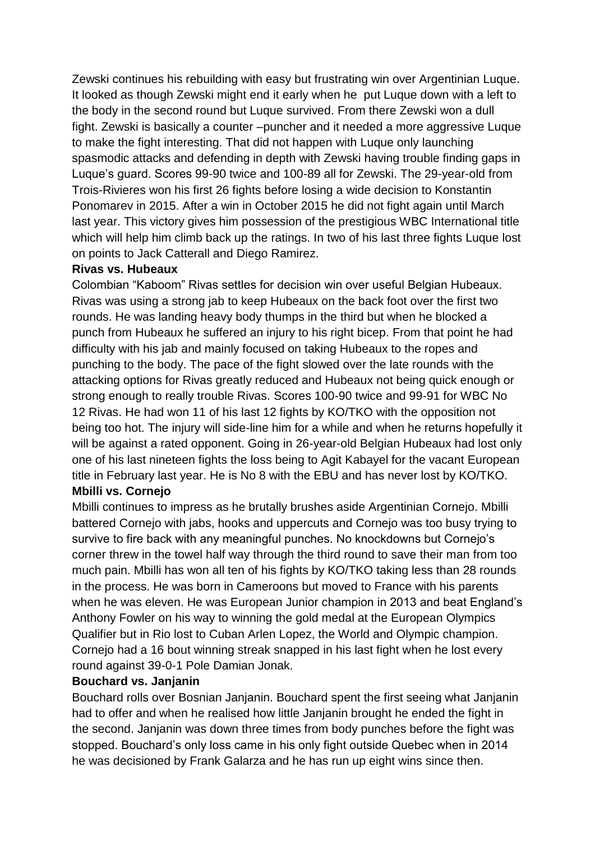Zewski continues his rebuilding with easy but frustrating win over Argentinian Luque. It looked as though Zewski might end it early when he put Luque down with a left to the body in the second round but Luque survived. From there Zewski won a dull fight. Zewski is basically a counter –puncher and it needed a more aggressive Luque to make the fight interesting. That did not happen with Luque only launching spasmodic attacks and defending in depth with Zewski having trouble finding gaps in Luque's guard. Scores 99-90 twice and 100-89 all for Zewski. The 29-year-old from Trois-Rivieres won his first 26 fights before losing a wide decision to Konstantin Ponomarev in 2015. After a win in October 2015 he did not fight again until March last year. This victory gives him possession of the prestigious WBC International title which will help him climb back up the ratings. In two of his last three fights Luque lost on points to Jack Catterall and Diego Ramirez.

#### **Rivas vs. Hubeaux**

Colombian "Kaboom" Rivas settles for decision win over useful Belgian Hubeaux. Rivas was using a strong jab to keep Hubeaux on the back foot over the first two rounds. He was landing heavy body thumps in the third but when he blocked a punch from Hubeaux he suffered an injury to his right bicep. From that point he had difficulty with his jab and mainly focused on taking Hubeaux to the ropes and punching to the body. The pace of the fight slowed over the late rounds with the attacking options for Rivas greatly reduced and Hubeaux not being quick enough or strong enough to really trouble Rivas. Scores 100-90 twice and 99-91 for WBC No 12 Rivas. He had won 11 of his last 12 fights by KO/TKO with the opposition not being too hot. The injury will side-line him for a while and when he returns hopefully it will be against a rated opponent. Going in 26-year-old Belgian Hubeaux had lost only one of his last nineteen fights the loss being to Agit Kabayel for the vacant European title in February last year. He is No 8 with the EBU and has never lost by KO/TKO. **Mbilli vs. Cornejo**

Mbilli continues to impress as he brutally brushes aside Argentinian Cornejo. Mbilli battered Cornejo with jabs, hooks and uppercuts and Cornejo was too busy trying to survive to fire back with any meaningful punches. No knockdowns but Cornejo's corner threw in the towel half way through the third round to save their man from too much pain. Mbilli has won all ten of his fights by KO/TKO taking less than 28 rounds in the process. He was born in Cameroons but moved to France with his parents when he was eleven. He was European Junior champion in 2013 and beat England's Anthony Fowler on his way to winning the gold medal at the European Olympics Qualifier but in Rio lost to Cuban Arlen Lopez, the World and Olympic champion. Cornejo had a 16 bout winning streak snapped in his last fight when he lost every round against 39-0-1 Pole Damian Jonak.

### **Bouchard vs. Janjanin**

Bouchard rolls over Bosnian Janjanin. Bouchard spent the first seeing what Janjanin had to offer and when he realised how little Janjanin brought he ended the fight in the second. Janjanin was down three times from body punches before the fight was stopped. Bouchard's only loss came in his only fight outside Quebec when in 2014 he was decisioned by Frank Galarza and he has run up eight wins since then.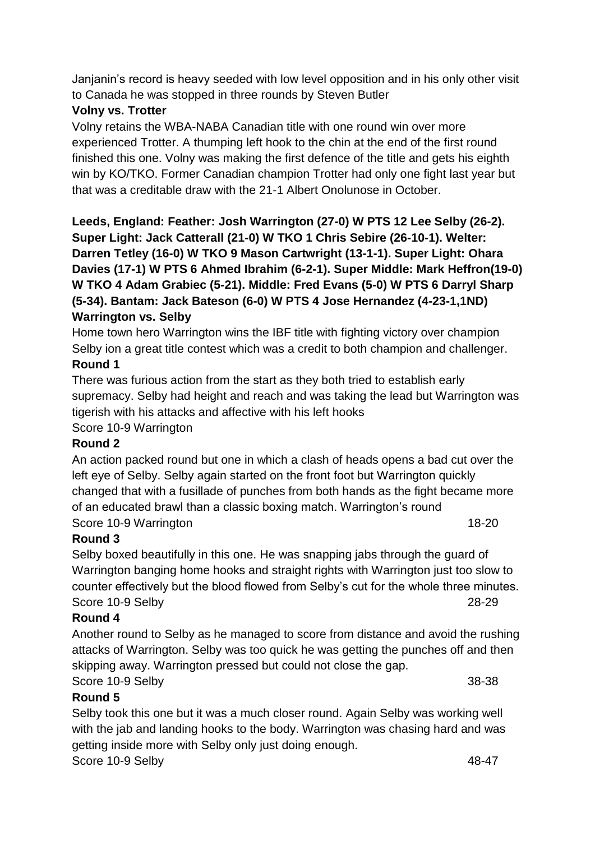Janjanin's record is heavy seeded with low level opposition and in his only other visit to Canada he was stopped in three rounds by Steven Butler

## **Volny vs. Trotter**

Volny retains the WBA-NABA Canadian title with one round win over more experienced Trotter. A thumping left hook to the chin at the end of the first round finished this one. Volny was making the first defence of the title and gets his eighth win by KO/TKO. Former Canadian champion Trotter had only one fight last year but that was a creditable draw with the 21-1 Albert Onolunose in October.

**Leeds, England: Feather: Josh Warrington (27-0) W PTS 12 Lee Selby (26-2). Super Light: Jack Catterall (21-0) W TKO 1 Chris Sebire (26-10-1). Welter: Darren Tetley (16-0) W TKO 9 Mason Cartwright (13-1-1). Super Light: Ohara Davies (17-1) W PTS 6 Ahmed Ibrahim (6-2-1). Super Middle: Mark Heffron(19-0) W TKO 4 Adam Grabiec (5-21). Middle: Fred Evans (5-0) W PTS 6 Darryl Sharp (5-34). Bantam: Jack Bateson (6-0) W PTS 4 Jose Hernandez (4-23-1,1ND) Warrington vs. Selby**

Home town hero Warrington wins the IBF title with fighting victory over champion Selby ion a great title contest which was a credit to both champion and challenger.

### **Round 1**

There was furious action from the start as they both tried to establish early supremacy. Selby had height and reach and was taking the lead but Warrington was tigerish with his attacks and affective with his left hooks Score 10-9 Warrington

### **Round 2**

An action packed round but one in which a clash of heads opens a bad cut over the left eye of Selby. Selby again started on the front foot but Warrington quickly changed that with a fusillade of punches from both hands as the fight became more of an educated brawl than a classic boxing match. Warrington's round Score 10-9 Warrington 18-20

### **Round 3**

Selby boxed beautifully in this one. He was snapping jabs through the guard of Warrington banging home hooks and straight rights with Warrington just too slow to counter effectively but the blood flowed from Selby's cut for the whole three minutes. Score 10-9 Selby 28-29

### **Round 4**

Another round to Selby as he managed to score from distance and avoid the rushing attacks of Warrington. Selby was too quick he was getting the punches off and then skipping away. Warrington pressed but could not close the gap.

### Score 10-9 Selby 38-38

### **Round 5**

Selby took this one but it was a much closer round. Again Selby was working well with the jab and landing hooks to the body. Warrington was chasing hard and was getting inside more with Selby only just doing enough. Score 10-9 Selby 48-47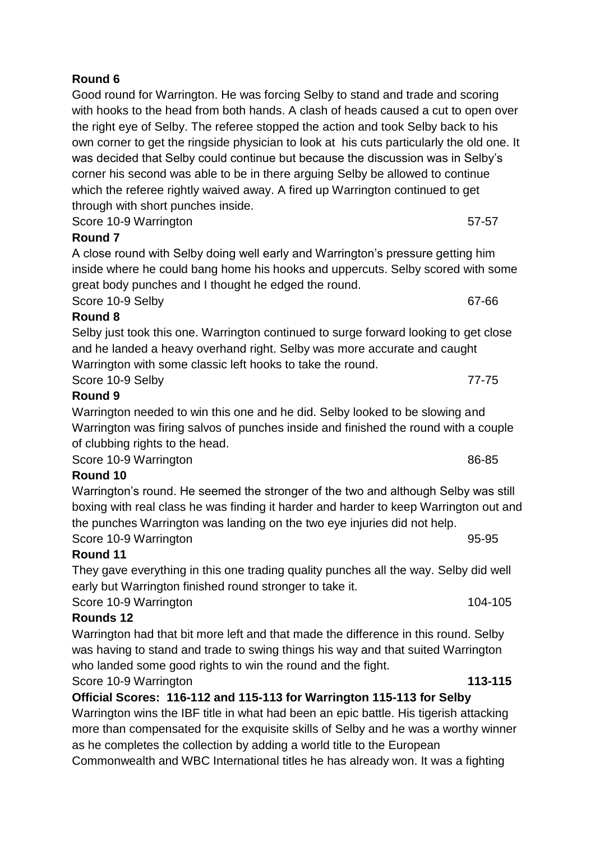Good round for Warrington. He was forcing Selby to stand and trade and scoring with hooks to the head from both hands. A clash of heads caused a cut to open over the right eye of Selby. The referee stopped the action and took Selby back to his own corner to get the ringside physician to look at his cuts particularly the old one. It was decided that Selby could continue but because the discussion was in Selby's corner his second was able to be in there arguing Selby be allowed to continue which the referee rightly waived away. A fired up Warrington continued to get through with short punches inside.

Score 10-9 Warrington 57-57

### **Round 7**

A close round with Selby doing well early and Warrington's pressure getting him inside where he could bang home his hooks and uppercuts. Selby scored with some great body punches and I thought he edged the round.

Score 10-9 Selby 67-66 **Round 8**

Selby just took this one. Warrington continued to surge forward looking to get close and he landed a heavy overhand right. Selby was more accurate and caught Warrington with some classic left hooks to take the round.

Score 10-9 Selby 77-75

## **Round 9**

Warrington needed to win this one and he did. Selby looked to be slowing and Warrington was firing salvos of punches inside and finished the round with a couple of clubbing rights to the head.

Score 10-9 Warrington 86-85

## **Round 10**

Warrington's round. He seemed the stronger of the two and although Selby was still boxing with real class he was finding it harder and harder to keep Warrington out and the punches Warrington was landing on the two eye injuries did not help.

Score 10-9 Warrington 95-95 **Round 11**

They gave everything in this one trading quality punches all the way. Selby did well early but Warrington finished round stronger to take it.

Score 10-9 Warrington 104-105

### **Rounds 12**

Warrington had that bit more left and that made the difference in this round. Selby was having to stand and trade to swing things his way and that suited Warrington who landed some good rights to win the round and the fight.

## Score 10-9 Warrington **113-115**

## **Official Scores: 116-112 and 115-113 for Warrington 115-113 for Selby**

Warrington wins the IBF title in what had been an epic battle. His tigerish attacking more than compensated for the exquisite skills of Selby and he was a worthy winner as he completes the collection by adding a world title to the European Commonwealth and WBC International titles he has already won. It was a fighting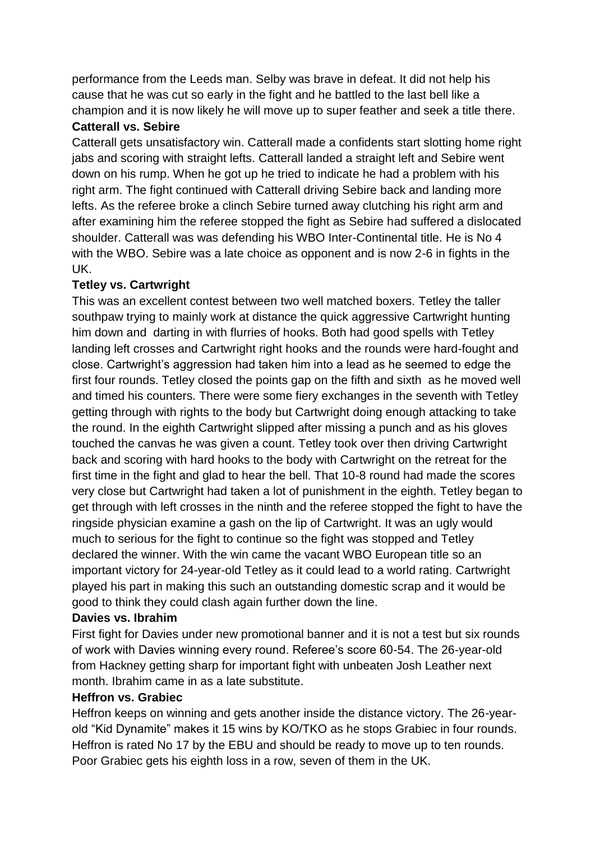performance from the Leeds man. Selby was brave in defeat. It did not help his cause that he was cut so early in the fight and he battled to the last bell like a champion and it is now likely he will move up to super feather and seek a title there.

### **Catterall vs. Sebire**

Catterall gets unsatisfactory win. Catterall made a confidents start slotting home right jabs and scoring with straight lefts. Catterall landed a straight left and Sebire went down on his rump. When he got up he tried to indicate he had a problem with his right arm. The fight continued with Catterall driving Sebire back and landing more lefts. As the referee broke a clinch Sebire turned away clutching his right arm and after examining him the referee stopped the fight as Sebire had suffered a dislocated shoulder. Catterall was was defending his WBO Inter-Continental title. He is No 4 with the WBO. Sebire was a late choice as opponent and is now 2-6 in fights in the UK.

## **Tetley vs. Cartwright**

This was an excellent contest between two well matched boxers. Tetley the taller southpaw trying to mainly work at distance the quick aggressive Cartwright hunting him down and darting in with flurries of hooks. Both had good spells with Tetley landing left crosses and Cartwright right hooks and the rounds were hard-fought and close. Cartwright's aggression had taken him into a lead as he seemed to edge the first four rounds. Tetley closed the points gap on the fifth and sixth as he moved well and timed his counters. There were some fiery exchanges in the seventh with Tetley getting through with rights to the body but Cartwright doing enough attacking to take the round. In the eighth Cartwright slipped after missing a punch and as his gloves touched the canvas he was given a count. Tetley took over then driving Cartwright back and scoring with hard hooks to the body with Cartwright on the retreat for the first time in the fight and glad to hear the bell. That 10-8 round had made the scores very close but Cartwright had taken a lot of punishment in the eighth. Tetley began to get through with left crosses in the ninth and the referee stopped the fight to have the ringside physician examine a gash on the lip of Cartwright. It was an ugly would much to serious for the fight to continue so the fight was stopped and Tetley declared the winner. With the win came the vacant WBO European title so an important victory for 24-year-old Tetley as it could lead to a world rating. Cartwright played his part in making this such an outstanding domestic scrap and it would be good to think they could clash again further down the line.

## **Davies vs. Ibrahim**

First fight for Davies under new promotional banner and it is not a test but six rounds of work with Davies winning every round. Referee's score 60-54. The 26-year-old from Hackney getting sharp for important fight with unbeaten Josh Leather next month. Ibrahim came in as a late substitute.

## **Heffron vs. Grabiec**

Heffron keeps on winning and gets another inside the distance victory. The 26-yearold "Kid Dynamite" makes it 15 wins by KO/TKO as he stops Grabiec in four rounds. Heffron is rated No 17 by the EBU and should be ready to move up to ten rounds. Poor Grabiec gets his eighth loss in a row, seven of them in the UK.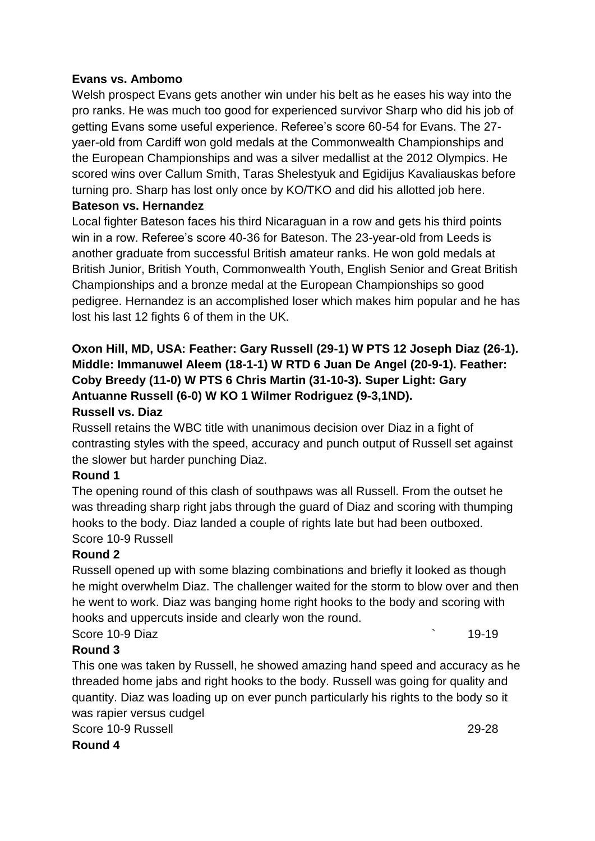#### **Evans vs. Ambomo**

Welsh prospect Evans gets another win under his belt as he eases his way into the pro ranks. He was much too good for experienced survivor Sharp who did his job of getting Evans some useful experience. Referee's score 60-54 for Evans. The 27 yaer-old from Cardiff won gold medals at the Commonwealth Championships and the European Championships and was a silver medallist at the 2012 Olympics. He scored wins over Callum Smith, Taras Shelestyuk and Egidijus Kavaliauskas before turning pro. Sharp has lost only once by KO/TKO and did his allotted job here.

#### **Bateson vs. Hernandez**

Local fighter Bateson faces his third Nicaraguan in a row and gets his third points win in a row. Referee's score 40-36 for Bateson. The 23-year-old from Leeds is another graduate from successful British amateur ranks. He won gold medals at British Junior, British Youth, Commonwealth Youth, English Senior and Great British Championships and a bronze medal at the European Championships so good pedigree. Hernandez is an accomplished loser which makes him popular and he has lost his last 12 fights 6 of them in the UK.

### **Oxon Hill, MD, USA: Feather: Gary Russell (29-1) W PTS 12 Joseph Diaz (26-1). Middle: Immanuwel Aleem (18-1-1) W RTD 6 Juan De Angel (20-9-1). Feather: Coby Breedy (11-0) W PTS 6 Chris Martin (31-10-3). Super Light: Gary Antuanne Russell (6-0) W KO 1 Wilmer Rodriguez (9-3,1ND). Russell vs. Diaz**

Russell retains the WBC title with unanimous decision over Diaz in a fight of contrasting styles with the speed, accuracy and punch output of Russell set against the slower but harder punching Diaz.

### **Round 1**

The opening round of this clash of southpaws was all Russell. From the outset he was threading sharp right jabs through the guard of Diaz and scoring with thumping hooks to the body. Diaz landed a couple of rights late but had been outboxed. Score 10-9 Russell

### **Round 2**

Russell opened up with some blazing combinations and briefly it looked as though he might overwhelm Diaz. The challenger waited for the storm to blow over and then he went to work. Diaz was banging home right hooks to the body and scoring with hooks and uppercuts inside and clearly won the round.

Score 10-9 Diaz **but the second contract of the second contract of the second contract of the second contract of the second contract of the second contract of the second contract of the second contract of the second contra** 

### **Round 3**

This one was taken by Russell, he showed amazing hand speed and accuracy as he threaded home jabs and right hooks to the body. Russell was going for quality and quantity. Diaz was loading up on ever punch particularly his rights to the body so it was rapier versus cudgel

```
Score 10-9 Russell 29-28
```
**Round 4**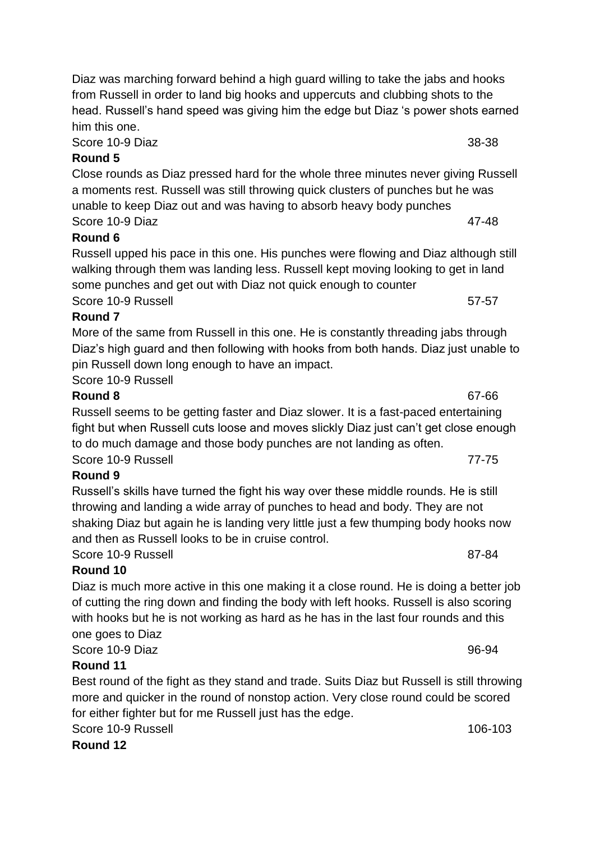Score 10-9 Diaz 38-38

## **Round 5**

Close rounds as Diaz pressed hard for the whole three minutes never giving Russell a moments rest. Russell was still throwing quick clusters of punches but he was unable to keep Diaz out and was having to absorb heavy body punches Score 10-9 Diaz 47-48

## **Round 6**

Russell upped his pace in this one. His punches were flowing and Diaz although still walking through them was landing less. Russell kept moving looking to get in land some punches and get out with Diaz not quick enough to counter Score 10-9 Russell 57-57

## **Round 7**

More of the same from Russell in this one. He is constantly threading jabs through Diaz's high guard and then following with hooks from both hands. Diaz just unable to pin Russell down long enough to have an impact.

Score 10-9 Russell

## **Round 8** 67-66

Russell seems to be getting faster and Diaz slower. It is a fast-paced entertaining fight but when Russell cuts loose and moves slickly Diaz just can't get close enough to do much damage and those body punches are not landing as often. Score 10-9 Russell **77-75** 

## **Round 9**

Russell's skills have turned the fight his way over these middle rounds. He is still throwing and landing a wide array of punches to head and body. They are not shaking Diaz but again he is landing very little just a few thumping body hooks now and then as Russell looks to be in cruise control.

Score 10-9 Russell 87-84

## **Round 10**

Diaz is much more active in this one making it a close round. He is doing a better job of cutting the ring down and finding the body with left hooks. Russell is also scoring with hooks but he is not working as hard as he has in the last four rounds and this one goes to Diaz

Score 10-9 Diaz 96-94

## **Round 11**

Best round of the fight as they stand and trade. Suits Diaz but Russell is still throwing more and quicker in the round of nonstop action. Very close round could be scored for either fighter but for me Russell just has the edge.

Score 10-9 Russell 106-103

**Round 12**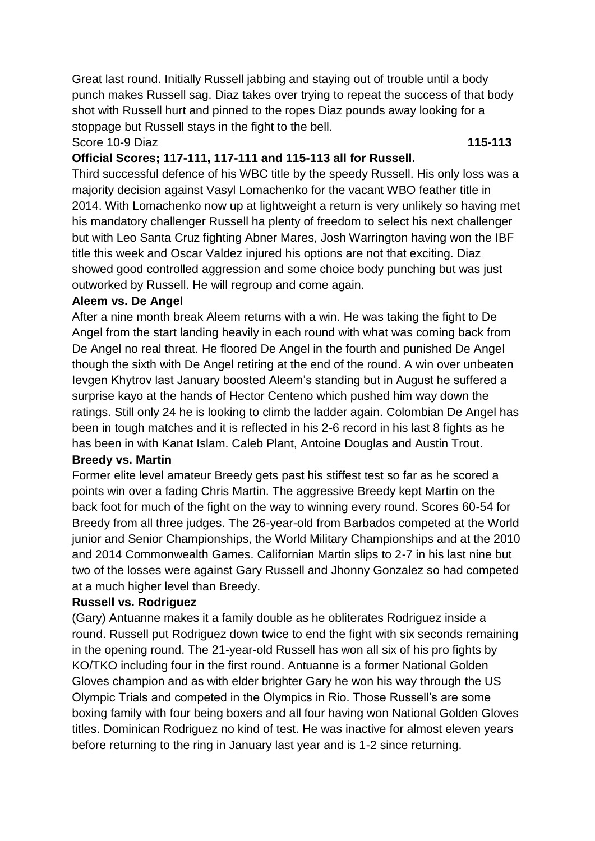Great last round. Initially Russell jabbing and staying out of trouble until a body punch makes Russell sag. Diaz takes over trying to repeat the success of that body shot with Russell hurt and pinned to the ropes Diaz pounds away looking for a stoppage but Russell stays in the fight to the bell.

Score 10-9 Diaz **115-113**

#### **Official Scores; 117-111, 117-111 and 115-113 all for Russell.**

Third successful defence of his WBC title by the speedy Russell. His only loss was a majority decision against Vasyl Lomachenko for the vacant WBO feather title in 2014. With Lomachenko now up at lightweight a return is very unlikely so having met his mandatory challenger Russell ha plenty of freedom to select his next challenger but with Leo Santa Cruz fighting Abner Mares, Josh Warrington having won the IBF title this week and Oscar Valdez injured his options are not that exciting. Diaz showed good controlled aggression and some choice body punching but was just outworked by Russell. He will regroup and come again.

#### **Aleem vs. De Angel**

After a nine month break Aleem returns with a win. He was taking the fight to De Angel from the start landing heavily in each round with what was coming back from De Angel no real threat. He floored De Angel in the fourth and punished De Angel though the sixth with De Angel retiring at the end of the round. A win over unbeaten Ievgen Khytrov last January boosted Aleem's standing but in August he suffered a surprise kayo at the hands of Hector Centeno which pushed him way down the ratings. Still only 24 he is looking to climb the ladder again. Colombian De Angel has been in tough matches and it is reflected in his 2-6 record in his last 8 fights as he has been in with Kanat Islam. Caleb Plant, Antoine Douglas and Austin Trout.

#### **Breedy vs. Martin**

Former elite level amateur Breedy gets past his stiffest test so far as he scored a points win over a fading Chris Martin. The aggressive Breedy kept Martin on the back foot for much of the fight on the way to winning every round. Scores 60-54 for Breedy from all three judges. The 26-year-old from Barbados competed at the World junior and Senior Championships, the World Military Championships and at the 2010 and 2014 Commonwealth Games. Californian Martin slips to 2-7 in his last nine but two of the losses were against Gary Russell and Jhonny Gonzalez so had competed at a much higher level than Breedy.

### **Russell vs. Rodriguez**

(Gary) Antuanne makes it a family double as he obliterates Rodriguez inside a round. Russell put Rodriguez down twice to end the fight with six seconds remaining in the opening round. The 21-year-old Russell has won all six of his pro fights by KO/TKO including four in the first round. Antuanne is a former National Golden Gloves champion and as with elder brighter Gary he won his way through the US Olympic Trials and competed in the Olympics in Rio. Those Russell's are some boxing family with four being boxers and all four having won National Golden Gloves titles. Dominican Rodriguez no kind of test. He was inactive for almost eleven years before returning to the ring in January last year and is 1-2 since returning.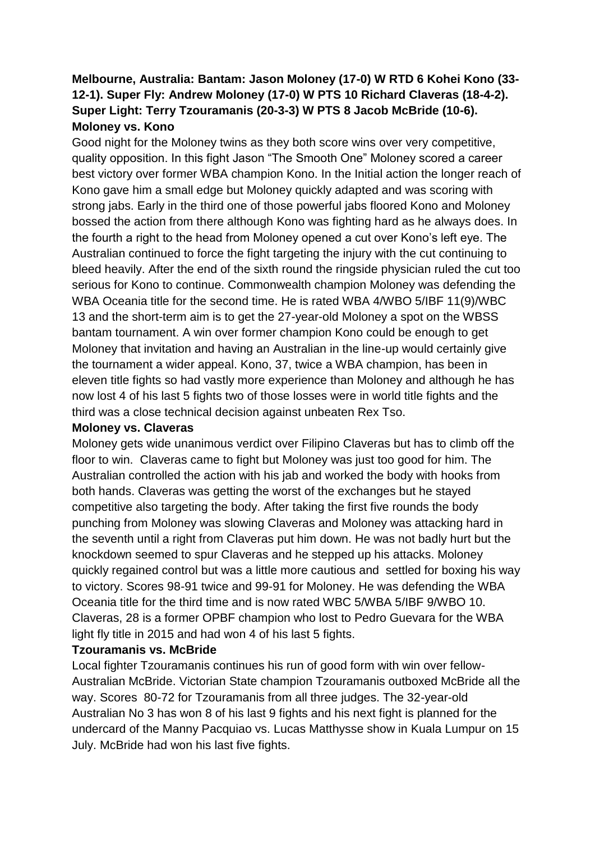## **Melbourne, Australia: Bantam: Jason Moloney (17-0) W RTD 6 Kohei Kono (33- 12-1). Super Fly: Andrew Moloney (17-0) W PTS 10 Richard Claveras (18-4-2). Super Light: Terry Tzouramanis (20-3-3) W PTS 8 Jacob McBride (10-6). Moloney vs. Kono**

Good night for the Moloney twins as they both score wins over very competitive, quality opposition. In this fight Jason "The Smooth One" Moloney scored a career best victory over former WBA champion Kono. In the Initial action the longer reach of Kono gave him a small edge but Moloney quickly adapted and was scoring with strong jabs. Early in the third one of those powerful jabs floored Kono and Moloney bossed the action from there although Kono was fighting hard as he always does. In the fourth a right to the head from Moloney opened a cut over Kono's left eye. The Australian continued to force the fight targeting the injury with the cut continuing to bleed heavily. After the end of the sixth round the ringside physician ruled the cut too serious for Kono to continue. Commonwealth champion Moloney was defending the WBA Oceania title for the second time. He is rated WBA 4/WBO 5/IBF 11(9)/WBC 13 and the short-term aim is to get the 27-year-old Moloney a spot on the WBSS bantam tournament. A win over former champion Kono could be enough to get Moloney that invitation and having an Australian in the line-up would certainly give the tournament a wider appeal. Kono, 37, twice a WBA champion, has been in eleven title fights so had vastly more experience than Moloney and although he has now lost 4 of his last 5 fights two of those losses were in world title fights and the third was a close technical decision against unbeaten Rex Tso.

#### **Moloney vs. Claveras**

Moloney gets wide unanimous verdict over Filipino Claveras but has to climb off the floor to win. Claveras came to fight but Moloney was just too good for him. The Australian controlled the action with his jab and worked the body with hooks from both hands. Claveras was getting the worst of the exchanges but he stayed competitive also targeting the body. After taking the first five rounds the body punching from Moloney was slowing Claveras and Moloney was attacking hard in the seventh until a right from Claveras put him down. He was not badly hurt but the knockdown seemed to spur Claveras and he stepped up his attacks. Moloney quickly regained control but was a little more cautious and settled for boxing his way to victory. Scores 98-91 twice and 99-91 for Moloney. He was defending the WBA Oceania title for the third time and is now rated WBC 5/WBA 5/IBF 9/WBO 10. Claveras, 28 is a former OPBF champion who lost to Pedro Guevara for the WBA light fly title in 2015 and had won 4 of his last 5 fights.

### **Tzouramanis vs. McBride**

Local fighter Tzouramanis continues his run of good form with win over fellow-Australian McBride. Victorian State champion Tzouramanis outboxed McBride all the way. Scores 80-72 for Tzouramanis from all three judges. The 32-year-old Australian No 3 has won 8 of his last 9 fights and his next fight is planned for the undercard of the Manny Pacquiao vs. Lucas Matthysse show in Kuala Lumpur on 15 July. McBride had won his last five fights.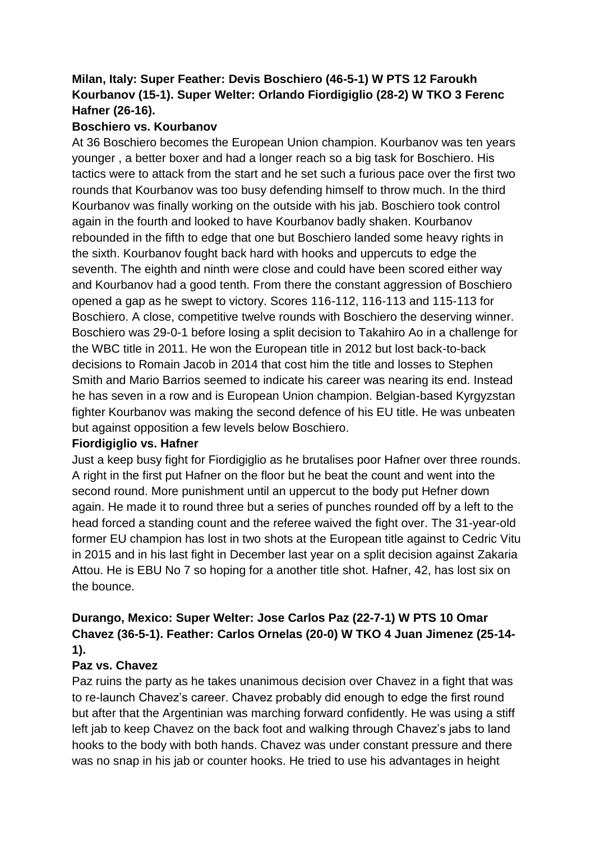## **Milan, Italy: Super Feather: Devis Boschiero (46-5-1) W PTS 12 Faroukh Kourbanov (15-1). Super Welter: Orlando Fiordigiglio (28-2) W TKO 3 Ferenc Hafner (26-16).**

### **Boschiero vs. Kourbanov**

At 36 Boschiero becomes the European Union champion. Kourbanov was ten years younger , a better boxer and had a longer reach so a big task for Boschiero. His tactics were to attack from the start and he set such a furious pace over the first two rounds that Kourbanov was too busy defending himself to throw much. In the third Kourbanov was finally working on the outside with his jab. Boschiero took control again in the fourth and looked to have Kourbanov badly shaken. Kourbanov rebounded in the fifth to edge that one but Boschiero landed some heavy rights in the sixth. Kourbanov fought back hard with hooks and uppercuts to edge the seventh. The eighth and ninth were close and could have been scored either way and Kourbanov had a good tenth. From there the constant aggression of Boschiero opened a gap as he swept to victory. Scores 116-112, 116-113 and 115-113 for Boschiero. A close, competitive twelve rounds with Boschiero the deserving winner. Boschiero was 29-0-1 before losing a split decision to Takahiro Ao in a challenge for the WBC title in 2011. He won the European title in 2012 but lost back-to-back decisions to Romain Jacob in 2014 that cost him the title and losses to Stephen Smith and Mario Barrios seemed to indicate his career was nearing its end. Instead he has seven in a row and is European Union champion. Belgian-based Kyrgyzstan fighter Kourbanov was making the second defence of his EU title. He was unbeaten but against opposition a few levels below Boschiero.

### **Fiordigiglio vs. Hafner**

Just a keep busy fight for Fiordigiglio as he brutalises poor Hafner over three rounds. A right in the first put Hafner on the floor but he beat the count and went into the second round. More punishment until an uppercut to the body put Hefner down again. He made it to round three but a series of punches rounded off by a left to the head forced a standing count and the referee waived the fight over. The 31-year-old former EU champion has lost in two shots at the European title against to Cedric Vitu in 2015 and in his last fight in December last year on a split decision against Zakaria Attou. He is EBU No 7 so hoping for a another title shot. Hafner, 42, has lost six on the bounce.

## **Durango, Mexico: Super Welter: Jose Carlos Paz (22-7-1) W PTS 10 Omar Chavez (36-5-1). Feather: Carlos Ornelas (20-0) W TKO 4 Juan Jimenez (25-14- 1).**

### **Paz vs. Chavez**

Paz ruins the party as he takes unanimous decision over Chavez in a fight that was to re-launch Chavez's career. Chavez probably did enough to edge the first round but after that the Argentinian was marching forward confidently. He was using a stiff left jab to keep Chavez on the back foot and walking through Chavez's jabs to land hooks to the body with both hands. Chavez was under constant pressure and there was no snap in his jab or counter hooks. He tried to use his advantages in height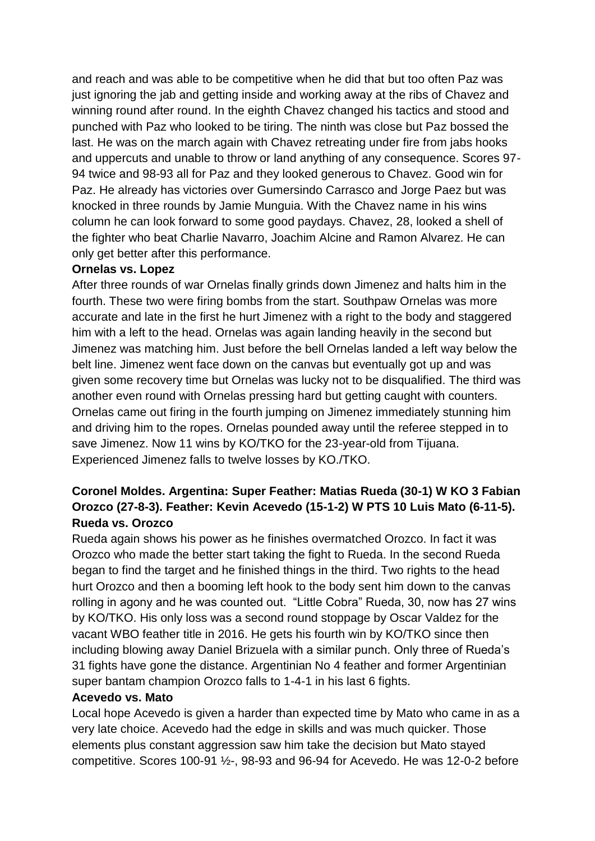and reach and was able to be competitive when he did that but too often Paz was just ignoring the jab and getting inside and working away at the ribs of Chavez and winning round after round. In the eighth Chavez changed his tactics and stood and punched with Paz who looked to be tiring. The ninth was close but Paz bossed the last. He was on the march again with Chavez retreating under fire from jabs hooks and uppercuts and unable to throw or land anything of any consequence. Scores 97- 94 twice and 98-93 all for Paz and they looked generous to Chavez. Good win for Paz. He already has victories over Gumersindo Carrasco and Jorge Paez but was knocked in three rounds by Jamie Munguia. With the Chavez name in his wins column he can look forward to some good paydays. Chavez, 28, looked a shell of the fighter who beat Charlie Navarro, Joachim Alcine and Ramon Alvarez. He can only get better after this performance.

#### **Ornelas vs. Lopez**

After three rounds of war Ornelas finally grinds down Jimenez and halts him in the fourth. These two were firing bombs from the start. Southpaw Ornelas was more accurate and late in the first he hurt Jimenez with a right to the body and staggered him with a left to the head. Ornelas was again landing heavily in the second but Jimenez was matching him. Just before the bell Ornelas landed a left way below the belt line. Jimenez went face down on the canvas but eventually got up and was given some recovery time but Ornelas was lucky not to be disqualified. The third was another even round with Ornelas pressing hard but getting caught with counters. Ornelas came out firing in the fourth jumping on Jimenez immediately stunning him and driving him to the ropes. Ornelas pounded away until the referee stepped in to save Jimenez. Now 11 wins by KO/TKO for the 23-year-old from Tijuana. Experienced Jimenez falls to twelve losses by KO./TKO.

## **Coronel Moldes. Argentina: Super Feather: Matias Rueda (30-1) W KO 3 Fabian Orozco (27-8-3). Feather: Kevin Acevedo (15-1-2) W PTS 10 Luis Mato (6-11-5). Rueda vs. Orozco**

Rueda again shows his power as he finishes overmatched Orozco. In fact it was Orozco who made the better start taking the fight to Rueda. In the second Rueda began to find the target and he finished things in the third. Two rights to the head hurt Orozco and then a booming left hook to the body sent him down to the canvas rolling in agony and he was counted out. "Little Cobra" Rueda, 30, now has 27 wins by KO/TKO. His only loss was a second round stoppage by Oscar Valdez for the vacant WBO feather title in 2016. He gets his fourth win by KO/TKO since then including blowing away Daniel Brizuela with a similar punch. Only three of Rueda's 31 fights have gone the distance. Argentinian No 4 feather and former Argentinian super bantam champion Orozco falls to 1-4-1 in his last 6 fights.

#### **Acevedo vs. Mato**

Local hope Acevedo is given a harder than expected time by Mato who came in as a very late choice. Acevedo had the edge in skills and was much quicker. Those elements plus constant aggression saw him take the decision but Mato stayed competitive. Scores 100-91 ½-, 98-93 and 96-94 for Acevedo. He was 12-0-2 before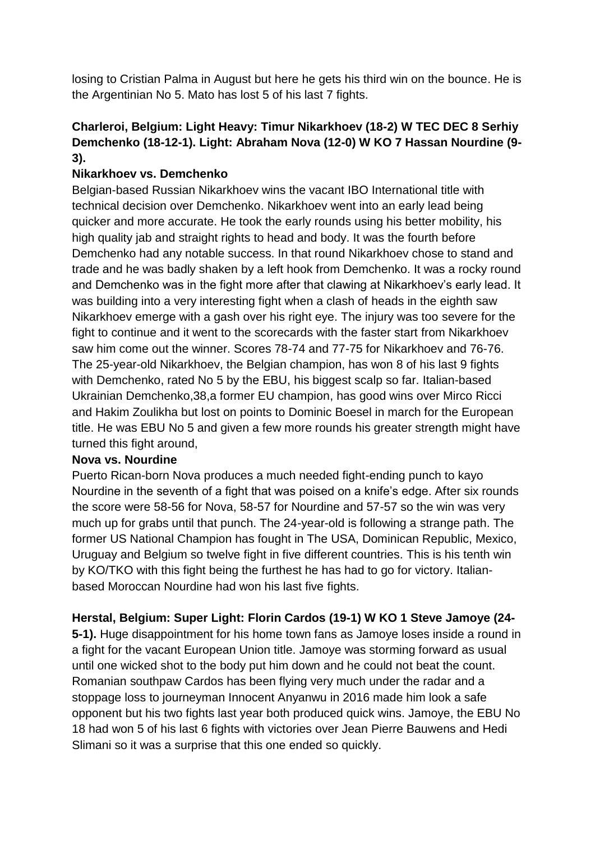losing to Cristian Palma in August but here he gets his third win on the bounce. He is the Argentinian No 5. Mato has lost 5 of his last 7 fights.

## **Charleroi, Belgium: Light Heavy: Timur Nikarkhoev (18-2) W TEC DEC 8 Serhiy Demchenko (18-12-1). Light: Abraham Nova (12-0) W KO 7 Hassan Nourdine (9- 3).**

## **Nikarkhoev vs. Demchenko**

Belgian-based Russian Nikarkhoev wins the vacant IBO International title with technical decision over Demchenko. Nikarkhoev went into an early lead being quicker and more accurate. He took the early rounds using his better mobility, his high quality jab and straight rights to head and body. It was the fourth before Demchenko had any notable success. In that round Nikarkhoev chose to stand and trade and he was badly shaken by a left hook from Demchenko. It was a rocky round and Demchenko was in the fight more after that clawing at Nikarkhoev's early lead. It was building into a very interesting fight when a clash of heads in the eighth saw Nikarkhoev emerge with a gash over his right eye. The injury was too severe for the fight to continue and it went to the scorecards with the faster start from Nikarkhoev saw him come out the winner. Scores 78-74 and 77-75 for Nikarkhoev and 76-76. The 25-year-old Nikarkhoev, the Belgian champion, has won 8 of his last 9 fights with Demchenko, rated No 5 by the EBU, his biggest scalp so far. Italian-based Ukrainian Demchenko,38,a former EU champion, has good wins over Mirco Ricci and Hakim Zoulikha but lost on points to Dominic Boesel in march for the European title. He was EBU No 5 and given a few more rounds his greater strength might have turned this fight around,

### **Nova vs. Nourdine**

Puerto Rican-born Nova produces a much needed fight-ending punch to kayo Nourdine in the seventh of a fight that was poised on a knife's edge. After six rounds the score were 58-56 for Nova, 58-57 for Nourdine and 57-57 so the win was very much up for grabs until that punch. The 24-year-old is following a strange path. The former US National Champion has fought in The USA, Dominican Republic, Mexico, Uruguay and Belgium so twelve fight in five different countries. This is his tenth win by KO/TKO with this fight being the furthest he has had to go for victory. Italianbased Moroccan Nourdine had won his last five fights.

### **Herstal, Belgium: Super Light: Florin Cardos (19-1) W KO 1 Steve Jamoye (24-**

**5-1).** Huge disappointment for his home town fans as Jamoye loses inside a round in a fight for the vacant European Union title. Jamoye was storming forward as usual until one wicked shot to the body put him down and he could not beat the count. Romanian southpaw Cardos has been flying very much under the radar and a stoppage loss to journeyman Innocent Anyanwu in 2016 made him look a safe opponent but his two fights last year both produced quick wins. Jamoye, the EBU No 18 had won 5 of his last 6 fights with victories over Jean Pierre Bauwens and Hedi Slimani so it was a surprise that this one ended so quickly.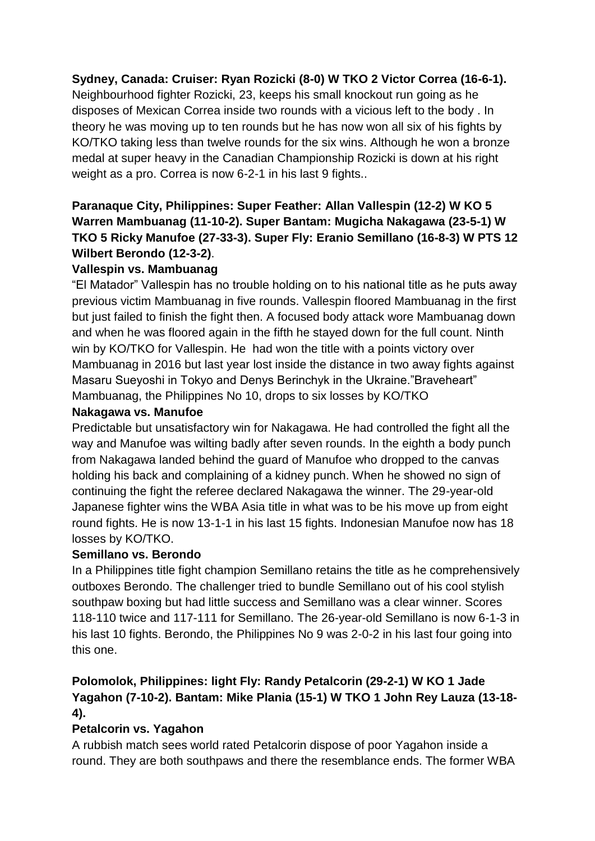## **Sydney, Canada: Cruiser: Ryan Rozicki (8-0) W TKO 2 Victor Correa (16-6-1).**

Neighbourhood fighter Rozicki, 23, keeps his small knockout run going as he disposes of Mexican Correa inside two rounds with a vicious left to the body . In theory he was moving up to ten rounds but he has now won all six of his fights by KO/TKO taking less than twelve rounds for the six wins. Although he won a bronze medal at super heavy in the Canadian Championship Rozicki is down at his right weight as a pro. Correa is now 6-2-1 in his last 9 fights..

## **Paranaque City, Philippines: Super Feather: Allan Vallespin (12-2) W KO 5 Warren Mambuanag (11-10-2). Super Bantam: Mugicha Nakagawa (23-5-1) W TKO 5 Ricky Manufoe (27-33-3). Super Fly: Eranio Semillano (16-8-3) W PTS 12 Wilbert Berondo (12-3-2)**.

### **Vallespin vs. Mambuanag**

"El Matador" Vallespin has no trouble holding on to his national title as he puts away previous victim Mambuanag in five rounds. Vallespin floored Mambuanag in the first but just failed to finish the fight then. A focused body attack wore Mambuanag down and when he was floored again in the fifth he stayed down for the full count. Ninth win by KO/TKO for Vallespin. He had won the title with a points victory over Mambuanag in 2016 but last year lost inside the distance in two away fights against Masaru Sueyoshi in Tokyo and Denys Berinchyk in the Ukraine."Braveheart" Mambuanag, the Philippines No 10, drops to six losses by KO/TKO

#### **Nakagawa vs. Manufoe**

Predictable but unsatisfactory win for Nakagawa. He had controlled the fight all the way and Manufoe was wilting badly after seven rounds. In the eighth a body punch from Nakagawa landed behind the guard of Manufoe who dropped to the canvas holding his back and complaining of a kidney punch. When he showed no sign of continuing the fight the referee declared Nakagawa the winner. The 29-year-old Japanese fighter wins the WBA Asia title in what was to be his move up from eight round fights. He is now 13-1-1 in his last 15 fights. Indonesian Manufoe now has 18 losses by KO/TKO.

### **Semillano vs. Berondo**

In a Philippines title fight champion Semillano retains the title as he comprehensively outboxes Berondo. The challenger tried to bundle Semillano out of his cool stylish southpaw boxing but had little success and Semillano was a clear winner. Scores 118-110 twice and 117-111 for Semillano. The 26-year-old Semillano is now 6-1-3 in his last 10 fights. Berondo, the Philippines No 9 was 2-0-2 in his last four going into this one.

## **Polomolok, Philippines: light Fly: Randy Petalcorin (29-2-1) W KO 1 Jade Yagahon (7-10-2). Bantam: Mike Plania (15-1) W TKO 1 John Rey Lauza (13-18- 4).**

### **Petalcorin vs. Yagahon**

A rubbish match sees world rated Petalcorin dispose of poor Yagahon inside a round. They are both southpaws and there the resemblance ends. The former WBA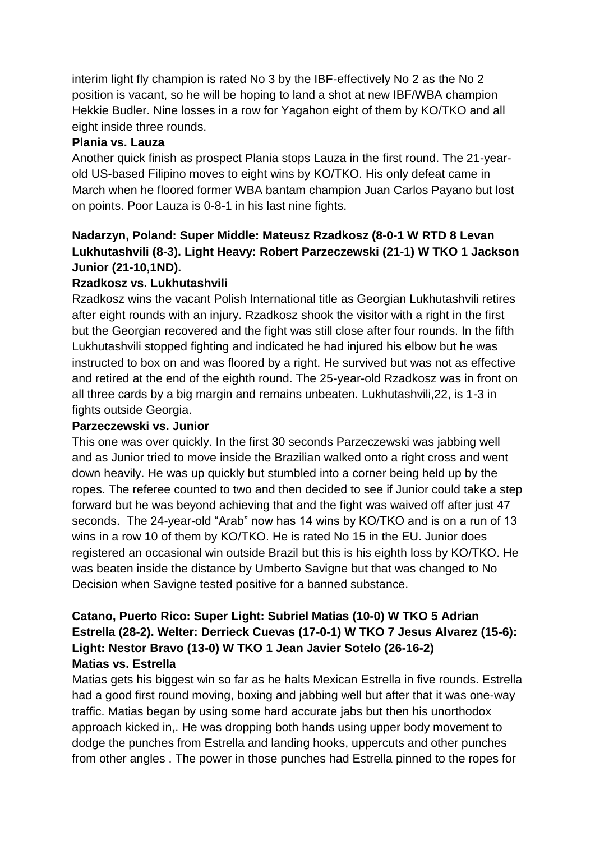interim light fly champion is rated No 3 by the IBF-effectively No 2 as the No 2 position is vacant, so he will be hoping to land a shot at new IBF/WBA champion Hekkie Budler. Nine losses in a row for Yagahon eight of them by KO/TKO and all eight inside three rounds.

## **Plania vs. Lauza**

Another quick finish as prospect Plania stops Lauza in the first round. The 21-yearold US-based Filipino moves to eight wins by KO/TKO. His only defeat came in March when he floored former WBA bantam champion Juan Carlos Payano but lost on points. Poor Lauza is 0-8-1 in his last nine fights.

## **Nadarzyn, Poland: Super Middle: Mateusz Rzadkosz (8-0-1 W RTD 8 Levan Lukhutashvili (8-3). Light Heavy: Robert Parzeczewski (21-1) W TKO 1 Jackson Junior (21-10,1ND).**

## **Rzadkosz vs. Lukhutashvili**

Rzadkosz wins the vacant Polish International title as Georgian Lukhutashvili retires after eight rounds with an injury. Rzadkosz shook the visitor with a right in the first but the Georgian recovered and the fight was still close after four rounds. In the fifth Lukhutashvili stopped fighting and indicated he had injured his elbow but he was instructed to box on and was floored by a right. He survived but was not as effective and retired at the end of the eighth round. The 25-year-old Rzadkosz was in front on all three cards by a big margin and remains unbeaten. Lukhutashvili,22, is 1-3 in fights outside Georgia.

### **Parzeczewski vs. Junior**

This one was over quickly. In the first 30 seconds Parzeczewski was jabbing well and as Junior tried to move inside the Brazilian walked onto a right cross and went down heavily. He was up quickly but stumbled into a corner being held up by the ropes. The referee counted to two and then decided to see if Junior could take a step forward but he was beyond achieving that and the fight was waived off after just 47 seconds. The 24-year-old "Arab" now has 14 wins by KO/TKO and is on a run of 13 wins in a row 10 of them by KO/TKO. He is rated No 15 in the EU. Junior does registered an occasional win outside Brazil but this is his eighth loss by KO/TKO. He was beaten inside the distance by Umberto Savigne but that was changed to No Decision when Savigne tested positive for a banned substance.

## **Catano, Puerto Rico: Super Light: Subriel Matias (10-0) W TKO 5 Adrian Estrella (28-2). Welter: Derrieck Cuevas (17-0-1) W TKO 7 Jesus Alvarez (15-6): Light: Nestor Bravo (13-0) W TKO 1 Jean Javier Sotelo (26-16-2) Matias vs. Estrella**

Matias gets his biggest win so far as he halts Mexican Estrella in five rounds. Estrella had a good first round moving, boxing and jabbing well but after that it was one-way traffic. Matias began by using some hard accurate jabs but then his unorthodox approach kicked in,. He was dropping both hands using upper body movement to dodge the punches from Estrella and landing hooks, uppercuts and other punches from other angles . The power in those punches had Estrella pinned to the ropes for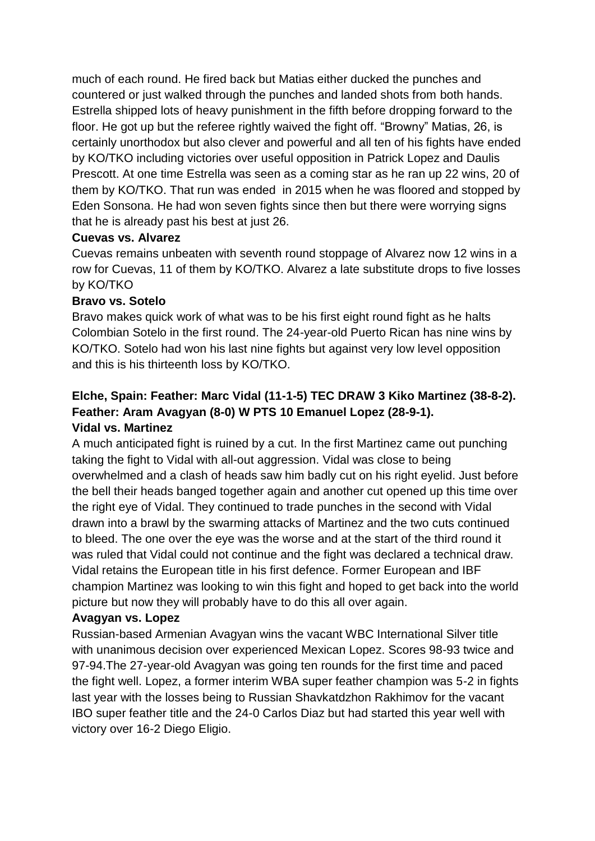much of each round. He fired back but Matias either ducked the punches and countered or just walked through the punches and landed shots from both hands. Estrella shipped lots of heavy punishment in the fifth before dropping forward to the floor. He got up but the referee rightly waived the fight off. "Browny" Matias, 26, is certainly unorthodox but also clever and powerful and all ten of his fights have ended by KO/TKO including victories over useful opposition in Patrick Lopez and Daulis Prescott. At one time Estrella was seen as a coming star as he ran up 22 wins, 20 of them by KO/TKO. That run was ended in 2015 when he was floored and stopped by Eden Sonsona. He had won seven fights since then but there were worrying signs that he is already past his best at just 26.

#### **Cuevas vs. Alvarez**

Cuevas remains unbeaten with seventh round stoppage of Alvarez now 12 wins in a row for Cuevas, 11 of them by KO/TKO. Alvarez a late substitute drops to five losses by KO/TKO

### **Bravo vs. Sotelo**

Bravo makes quick work of what was to be his first eight round fight as he halts Colombian Sotelo in the first round. The 24-year-old Puerto Rican has nine wins by KO/TKO. Sotelo had won his last nine fights but against very low level opposition and this is his thirteenth loss by KO/TKO.

## **Elche, Spain: Feather: Marc Vidal (11-1-5) TEC DRAW 3 Kiko Martinez (38-8-2). Feather: Aram Avagyan (8-0) W PTS 10 Emanuel Lopez (28-9-1). Vidal vs. Martinez**

A much anticipated fight is ruined by a cut. In the first Martinez came out punching taking the fight to Vidal with all-out aggression. Vidal was close to being overwhelmed and a clash of heads saw him badly cut on his right eyelid. Just before the bell their heads banged together again and another cut opened up this time over the right eye of Vidal. They continued to trade punches in the second with Vidal drawn into a brawl by the swarming attacks of Martinez and the two cuts continued to bleed. The one over the eye was the worse and at the start of the third round it was ruled that Vidal could not continue and the fight was declared a technical draw. Vidal retains the European title in his first defence. Former European and IBF champion Martinez was looking to win this fight and hoped to get back into the world picture but now they will probably have to do this all over again.

### **Avagyan vs. Lopez**

Russian-based Armenian Avagyan wins the vacant WBC International Silver title with unanimous decision over experienced Mexican Lopez. Scores 98-93 twice and 97-94.The 27-year-old Avagyan was going ten rounds for the first time and paced the fight well. Lopez, a former interim WBA super feather champion was 5-2 in fights last year with the losses being to Russian Shavkatdzhon Rakhimov for the vacant IBO super feather title and the 24-0 Carlos Diaz but had started this year well with victory over 16-2 Diego Eligio.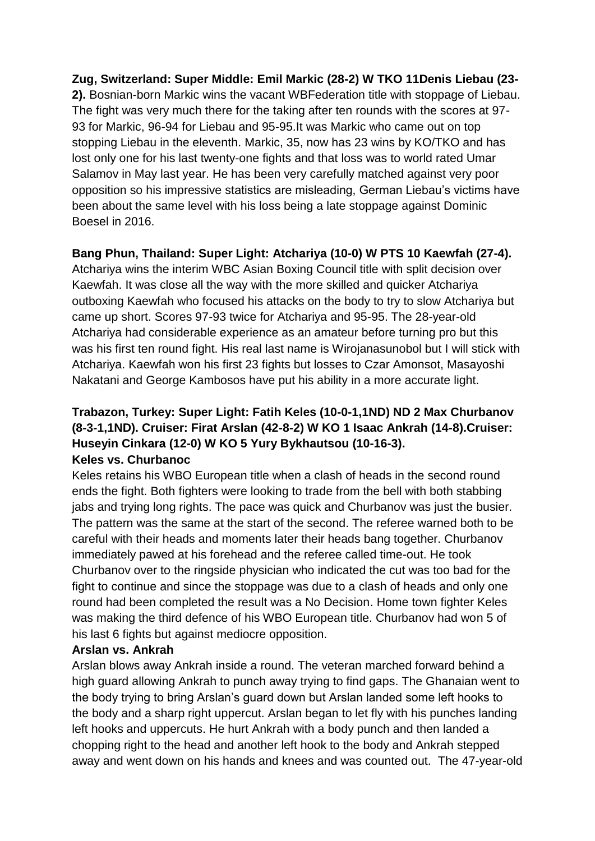## **Zug, Switzerland: Super Middle: Emil Markic (28-2) W TKO 11Denis Liebau (23- 2).** Bosnian-born Markic wins the vacant WBFederation title with stoppage of Liebau. The fight was very much there for the taking after ten rounds with the scores at 97- 93 for Markic, 96-94 for Liebau and 95-95.It was Markic who came out on top stopping Liebau in the eleventh. Markic, 35, now has 23 wins by KO/TKO and has lost only one for his last twenty-one fights and that loss was to world rated Umar Salamov in May last year. He has been very carefully matched against very poor opposition so his impressive statistics are misleading, German Liebau's victims have been about the same level with his loss being a late stoppage against Dominic Boesel in 2016.

## **Bang Phun, Thailand: Super Light: Atchariya (10-0) W PTS 10 Kaewfah (27-4).**

Atchariya wins the interim WBC Asian Boxing Council title with split decision over Kaewfah. It was close all the way with the more skilled and quicker Atchariya outboxing Kaewfah who focused his attacks on the body to try to slow Atchariya but came up short. Scores 97-93 twice for Atchariya and 95-95. The 28-year-old Atchariya had considerable experience as an amateur before turning pro but this was his first ten round fight. His real last name is Wirojanasunobol but I will stick with Atchariya. Kaewfah won his first 23 fights but losses to Czar Amonsot, Masayoshi Nakatani and George Kambosos have put his ability in a more accurate light.

## **Trabazon, Turkey: Super Light: Fatih Keles (10-0-1,1ND) ND 2 Max Churbanov (8-3-1,1ND). Cruiser: Firat Arslan (42-8-2) W KO 1 Isaac Ankrah (14-8).Cruiser: Huseyin Cinkara (12-0) W KO 5 Yury Bykhautsou (10-16-3). Keles vs. Churbanoc**

Keles retains his WBO European title when a clash of heads in the second round ends the fight. Both fighters were looking to trade from the bell with both stabbing jabs and trying long rights. The pace was quick and Churbanov was just the busier. The pattern was the same at the start of the second. The referee warned both to be careful with their heads and moments later their heads bang together. Churbanov immediately pawed at his forehead and the referee called time-out. He took Churbanov over to the ringside physician who indicated the cut was too bad for the fight to continue and since the stoppage was due to a clash of heads and only one round had been completed the result was a No Decision. Home town fighter Keles was making the third defence of his WBO European title. Churbanov had won 5 of his last 6 fights but against mediocre opposition.

### **Arslan vs. Ankrah**

Arslan blows away Ankrah inside a round. The veteran marched forward behind a high guard allowing Ankrah to punch away trying to find gaps. The Ghanaian went to the body trying to bring Arslan's guard down but Arslan landed some left hooks to the body and a sharp right uppercut. Arslan began to let fly with his punches landing left hooks and uppercuts. He hurt Ankrah with a body punch and then landed a chopping right to the head and another left hook to the body and Ankrah stepped away and went down on his hands and knees and was counted out. The 47-year-old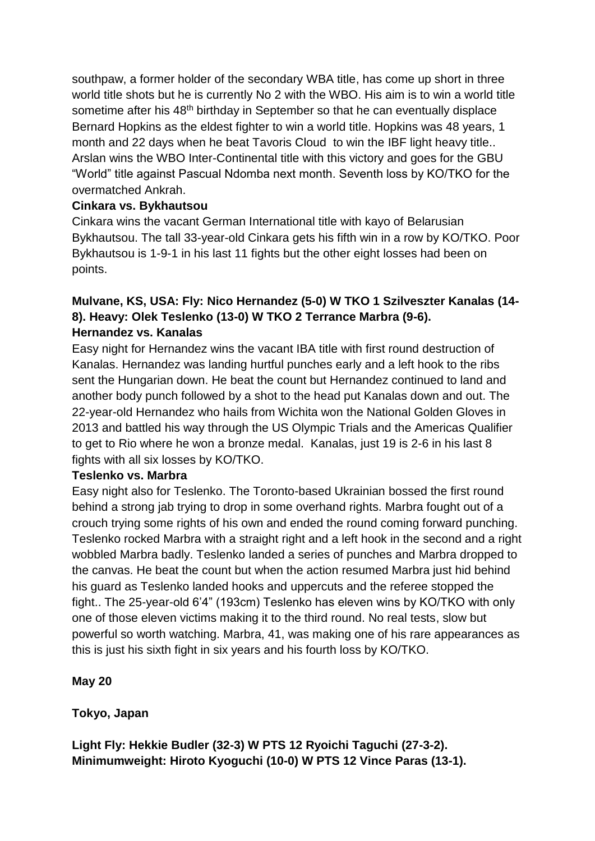southpaw, a former holder of the secondary WBA title, has come up short in three world title shots but he is currently No 2 with the WBO. His aim is to win a world title sometime after his 48<sup>th</sup> birthday in September so that he can eventually displace Bernard Hopkins as the eldest fighter to win a world title. Hopkins was 48 years, 1 month and 22 days when he beat Tavoris Cloud to win the IBF light heavy title.. Arslan wins the WBO Inter-Continental title with this victory and goes for the GBU "World" title against Pascual Ndomba next month. Seventh loss by KO/TKO for the overmatched Ankrah.

### **Cinkara vs. Bykhautsou**

Cinkara wins the vacant German International title with kayo of Belarusian Bykhautsou. The tall 33-year-old Cinkara gets his fifth win in a row by KO/TKO. Poor Bykhautsou is 1-9-1 in his last 11 fights but the other eight losses had been on points.

### **Mulvane, KS, USA: Fly: Nico Hernandez (5-0) W TKO 1 Szilveszter Kanalas (14- 8). Heavy: Olek Teslenko (13-0) W TKO 2 Terrance Marbra (9-6). Hernandez vs. Kanalas**

Easy night for Hernandez wins the vacant IBA title with first round destruction of Kanalas. Hernandez was landing hurtful punches early and a left hook to the ribs sent the Hungarian down. He beat the count but Hernandez continued to land and another body punch followed by a shot to the head put Kanalas down and out. The 22-year-old Hernandez who hails from Wichita won the National Golden Gloves in 2013 and battled his way through the US Olympic Trials and the Americas Qualifier to get to Rio where he won a bronze medal. Kanalas, just 19 is 2-6 in his last 8 fights with all six losses by KO/TKO.

### **Teslenko vs. Marbra**

Easy night also for Teslenko. The Toronto-based Ukrainian bossed the first round behind a strong jab trying to drop in some overhand rights. Marbra fought out of a crouch trying some rights of his own and ended the round coming forward punching. Teslenko rocked Marbra with a straight right and a left hook in the second and a right wobbled Marbra badly. Teslenko landed a series of punches and Marbra dropped to the canvas. He beat the count but when the action resumed Marbra just hid behind his guard as Teslenko landed hooks and uppercuts and the referee stopped the fight.. The 25-year-old 6'4" (193cm) Teslenko has eleven wins by KO/TKO with only one of those eleven victims making it to the third round. No real tests, slow but powerful so worth watching. Marbra, 41, was making one of his rare appearances as this is just his sixth fight in six years and his fourth loss by KO/TKO.

**May 20**

**Tokyo, Japan**

**Light Fly: Hekkie Budler (32-3) W PTS 12 Ryoichi Taguchi (27-3-2). Minimumweight: Hiroto Kyoguchi (10-0) W PTS 12 Vince Paras (13-1).**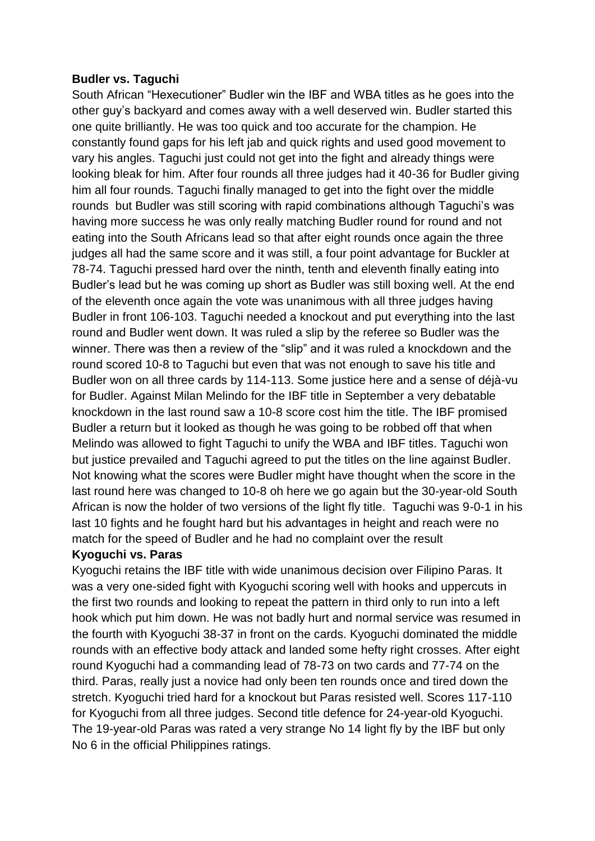#### **Budler vs. Taguchi**

South African "Hexecutioner" Budler win the IBF and WBA titles as he goes into the other guy's backyard and comes away with a well deserved win. Budler started this one quite brilliantly. He was too quick and too accurate for the champion. He constantly found gaps for his left jab and quick rights and used good movement to vary his angles. Taguchi just could not get into the fight and already things were looking bleak for him. After four rounds all three judges had it 40-36 for Budler giving him all four rounds. Taguchi finally managed to get into the fight over the middle rounds but Budler was still scoring with rapid combinations although Taguchi's was having more success he was only really matching Budler round for round and not eating into the South Africans lead so that after eight rounds once again the three judges all had the same score and it was still, a four point advantage for Buckler at 78-74. Taguchi pressed hard over the ninth, tenth and eleventh finally eating into Budler's lead but he was coming up short as Budler was still boxing well. At the end of the eleventh once again the vote was unanimous with all three judges having Budler in front 106-103. Taguchi needed a knockout and put everything into the last round and Budler went down. It was ruled a slip by the referee so Budler was the winner. There was then a review of the "slip" and it was ruled a knockdown and the round scored 10-8 to Taguchi but even that was not enough to save his title and Budler won on all three cards by 114-113. Some justice here and a sense of déjà-vu for Budler. Against Milan Melindo for the IBF title in September a very debatable knockdown in the last round saw a 10-8 score cost him the title. The IBF promised Budler a return but it looked as though he was going to be robbed off that when Melindo was allowed to fight Taguchi to unify the WBA and IBF titles. Taguchi won but justice prevailed and Taguchi agreed to put the titles on the line against Budler. Not knowing what the scores were Budler might have thought when the score in the last round here was changed to 10-8 oh here we go again but the 30-year-old South African is now the holder of two versions of the light fly title. Taguchi was 9-0-1 in his last 10 fights and he fought hard but his advantages in height and reach were no match for the speed of Budler and he had no complaint over the result

#### **Kyoguchi vs. Paras**

Kyoguchi retains the IBF title with wide unanimous decision over Filipino Paras. It was a very one-sided fight with Kyoguchi scoring well with hooks and uppercuts in the first two rounds and looking to repeat the pattern in third only to run into a left hook which put him down. He was not badly hurt and normal service was resumed in the fourth with Kyoguchi 38-37 in front on the cards. Kyoguchi dominated the middle rounds with an effective body attack and landed some hefty right crosses. After eight round Kyoguchi had a commanding lead of 78-73 on two cards and 77-74 on the third. Paras, really just a novice had only been ten rounds once and tired down the stretch. Kyoguchi tried hard for a knockout but Paras resisted well. Scores 117-110 for Kyoguchi from all three judges. Second title defence for 24-year-old Kyoguchi. The 19-year-old Paras was rated a very strange No 14 light fly by the IBF but only No 6 in the official Philippines ratings.